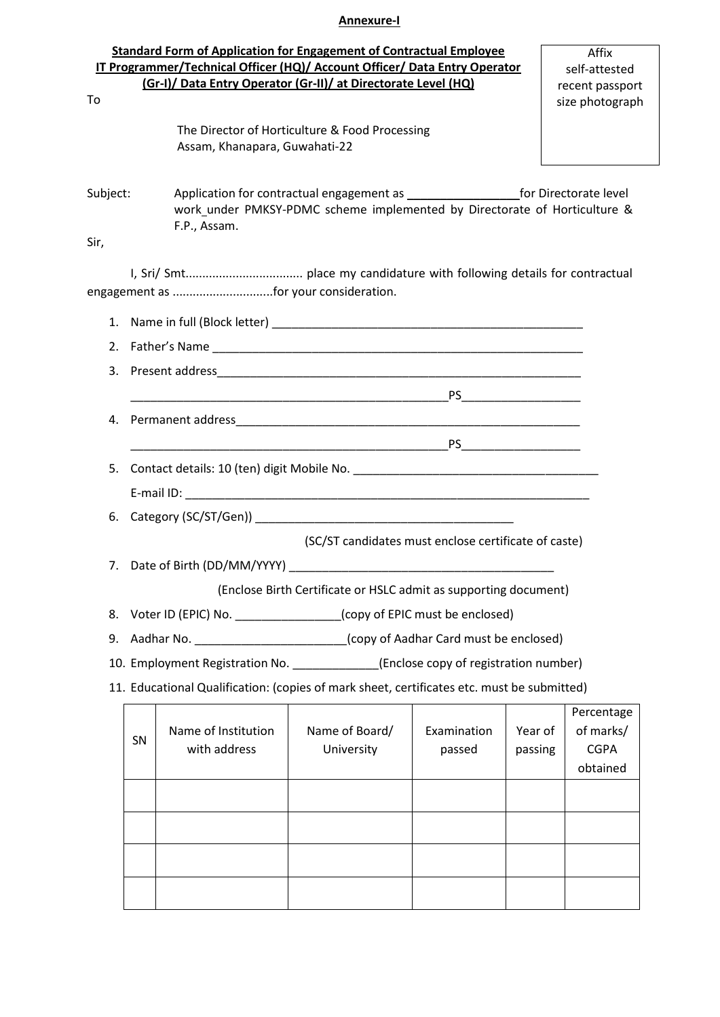## **Annexure-I**

| To       |                               | <b>Standard Form of Application for Engagement of Contractual Employee</b><br>IT Programmer/Technical Officer (HQ)/ Account Officer/ Data Entry Operator<br>(Gr-I)/ Data Entry Operator (Gr-II)/ at Directorate Level (HQ) |                                                                           |                                                                                                                                                                                                                                                                                                                                              |                    | Affix<br>self-attested<br>recent passport<br>size photograph |  |  |
|----------|-------------------------------|----------------------------------------------------------------------------------------------------------------------------------------------------------------------------------------------------------------------------|---------------------------------------------------------------------------|----------------------------------------------------------------------------------------------------------------------------------------------------------------------------------------------------------------------------------------------------------------------------------------------------------------------------------------------|--------------------|--------------------------------------------------------------|--|--|
|          |                               | Assam, Khanapara, Guwahati-22                                                                                                                                                                                              | The Director of Horticulture & Food Processing                            |                                                                                                                                                                                                                                                                                                                                              |                    |                                                              |  |  |
| Subject: |                               | F.P., Assam.                                                                                                                                                                                                               | work_under PMKSY-PDMC scheme implemented by Directorate of Horticulture & |                                                                                                                                                                                                                                                                                                                                              |                    |                                                              |  |  |
| Sir,     |                               |                                                                                                                                                                                                                            |                                                                           |                                                                                                                                                                                                                                                                                                                                              |                    |                                                              |  |  |
|          |                               | engagement as for your consideration.                                                                                                                                                                                      |                                                                           |                                                                                                                                                                                                                                                                                                                                              |                    |                                                              |  |  |
|          |                               |                                                                                                                                                                                                                            |                                                                           |                                                                                                                                                                                                                                                                                                                                              |                    |                                                              |  |  |
|          |                               |                                                                                                                                                                                                                            |                                                                           |                                                                                                                                                                                                                                                                                                                                              |                    |                                                              |  |  |
|          |                               |                                                                                                                                                                                                                            |                                                                           |                                                                                                                                                                                                                                                                                                                                              |                    |                                                              |  |  |
|          |                               |                                                                                                                                                                                                                            |                                                                           |                                                                                                                                                                                                                                                                                                                                              |                    |                                                              |  |  |
| 4.       |                               |                                                                                                                                                                                                                            |                                                                           |                                                                                                                                                                                                                                                                                                                                              |                    |                                                              |  |  |
|          |                               |                                                                                                                                                                                                                            |                                                                           | $\begin{picture}(180,10) \put(0,0){\line(1,0){100}} \put(15,0){\line(1,0){100}} \put(15,0){\line(1,0){100}} \put(15,0){\line(1,0){100}} \put(15,0){\line(1,0){100}} \put(15,0){\line(1,0){100}} \put(15,0){\line(1,0){100}} \put(15,0){\line(1,0){100}} \put(15,0){\line(1,0){100}} \put(15,0){\line(1,0){100}} \put(15,0){\line(1,0){100}}$ |                    |                                                              |  |  |
| 5.       |                               |                                                                                                                                                                                                                            |                                                                           |                                                                                                                                                                                                                                                                                                                                              |                    |                                                              |  |  |
|          |                               |                                                                                                                                                                                                                            |                                                                           |                                                                                                                                                                                                                                                                                                                                              |                    |                                                              |  |  |
|          |                               |                                                                                                                                                                                                                            |                                                                           |                                                                                                                                                                                                                                                                                                                                              |                    |                                                              |  |  |
|          |                               |                                                                                                                                                                                                                            | (SC/ST candidates must enclose certificate of caste)                      |                                                                                                                                                                                                                                                                                                                                              |                    |                                                              |  |  |
|          | 7. Date of Birth (DD/MM/YYYY) |                                                                                                                                                                                                                            |                                                                           |                                                                                                                                                                                                                                                                                                                                              |                    |                                                              |  |  |
|          |                               |                                                                                                                                                                                                                            | (Enclose Birth Certificate or HSLC admit as supporting document)          |                                                                                                                                                                                                                                                                                                                                              |                    |                                                              |  |  |
| 8.       |                               | Voter ID (EPIC) No. __________________(copy of EPIC must be enclosed)                                                                                                                                                      |                                                                           |                                                                                                                                                                                                                                                                                                                                              |                    |                                                              |  |  |
| 9.       |                               | Aadhar No. _____________________________(copy of Aadhar Card must be enclosed)                                                                                                                                             |                                                                           |                                                                                                                                                                                                                                                                                                                                              |                    |                                                              |  |  |
|          |                               | 10. Employment Registration No. ____________(Enclose copy of registration number)                                                                                                                                          |                                                                           |                                                                                                                                                                                                                                                                                                                                              |                    |                                                              |  |  |
|          |                               | 11. Educational Qualification: (copies of mark sheet, certificates etc. must be submitted)                                                                                                                                 |                                                                           |                                                                                                                                                                                                                                                                                                                                              |                    |                                                              |  |  |
|          | SN                            | Name of Institution<br>with address                                                                                                                                                                                        | Name of Board/<br>University                                              | Examination<br>passed                                                                                                                                                                                                                                                                                                                        | Year of<br>passing | Percentage<br>of marks/<br><b>CGPA</b><br>obtained           |  |  |
|          |                               |                                                                                                                                                                                                                            |                                                                           |                                                                                                                                                                                                                                                                                                                                              |                    |                                                              |  |  |

|  |  | optamed |
|--|--|---------|
|  |  |         |
|  |  |         |
|  |  |         |
|  |  |         |